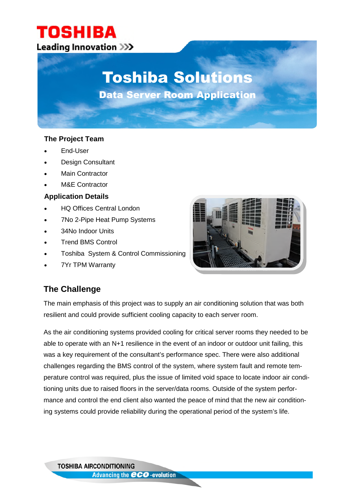### TOSHIBA **Leading Innovation >>>**

# Toshiba Solutions

Data Server Room Application

### **The Project Team**

- End-User
- Design Consultant
- Main Contractor
- M&E Contractor

### **Application Details**

- HQ Offices Central London
- 7No 2-Pipe Heat Pump Systems
- 34No Indoor Units
- Trend BMS Control
- Toshiba System & Control Commissioning
- 7Yr TPM Warranty



### **The Challenge**

The main emphasis of this project was to supply an air conditioning solution that was both resilient and could provide sufficient cooling capacity to each server room.

As the air conditioning systems provided cooling for critical server rooms they needed to be able to operate with an N+1 resilience in the event of an indoor or outdoor unit failing, this was a key requirement of the consultant's performance spec. There were also additional challenges regarding the BMS control of the system, where system fault and remote temperature control was required, plus the issue of limited void space to locate indoor air conditioning units due to raised floors in the server/data rooms. Outside of the system performance and control the end client also wanted the peace of mind that the new air conditioning systems could provide reliability during the operational period of the system's life.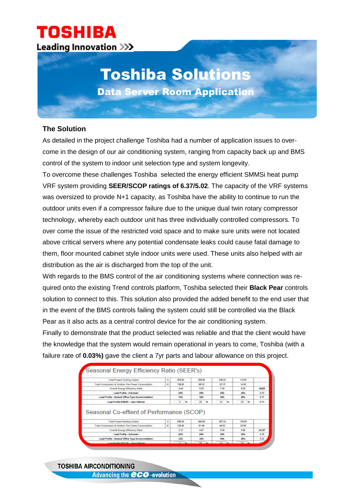### **TOSHIBA Leading Innovation >>>**

## Toshiba Solutions Data Server Room Application

### **The Solution**

As detailed in the project challenge Toshiba had a number of application issues to overcome in the design of our air conditioning system, ranging from capacity back up and BMS control of the system to indoor unit selection type and system longevity.

To overcome these challenges Toshiba selected the energy efficient SMMSi heat pump VRF system providing **SEER/SCOP ratings of 6.37/5.02**. The capacity of the VRF systems was oversized to provide N+1 capacity, as Toshiba have the ability to continue to run the outdoor units even if a compressor failure due to the unique dual twin rotary compressor technology, whereby each outdoor unit has three individually controlled compressors. To over come the issue of the restricted void space and to make sure units were not located above critical servers where any potential condensate leaks could cause fatal damage to them, floor mounted cabinet style indoor units were used. These units also helped with air distribution as the air is discharged from the top of the unit.

With regards to the BMS control of the air conditioning systems where connection was required onto the existing Trend controls platform, Toshiba selected their **Black Pear** controls solution to connect to this. This solution also provided the added benefit to the end user that in the event of the BMS controls failing the system could still be controlled via the Black Pear as it also acts as a central control device for the air conditioning system.

Finally to demonstrate that the product selected was reliable and that the client would have the knowledge that the system would remain operational in years to come, Toshiba (with a failure rate of **0.03%)** gave the client a 7yr parts and labour allowance on this project.

| <b>Total Project Cooling Output</b>                                                           | ۰ | 478.00 | 358.50   | 299.00  | 119.50  |             |
|-----------------------------------------------------------------------------------------------|---|--------|----------|---------|---------|-------------|
| Total Comprissor & Outdoor Fan Power Consumption                                              | w | 138.90 | 68.23    | 35.15   | 14.00   |             |
| Overall Energy Efficiency Ratio                                                               |   | 3.44   | 6.35     | 7.43    | 800     | <b>SEER</b> |
| <b>Load Profile - Unknown</b>                                                                 |   | 25%    | 25%      | 25%     | 25%     | 6.03        |
| Load Profile - General Office Type Accommodation                                              |   | 12%    | 32%      | 36%     | 20%     | 6.37        |
| <b>Load Profile ESEER - User Defined</b>                                                      |   | з<br>× | 33<br>×. | 41<br>м | 25<br>× | 6.73        |
|                                                                                               |   |        |          |         |         |             |
|                                                                                               |   |        |          |         |         |             |
| <b>Total Project Heating Output</b>                                                           | a | 306.40 | \$60.60  | 267.30  | 133.65  |             |
| Total Compressor & Outdoor Fan Power Consumption                                              | w | 138.00 | R1 dR    | 48:32   | 23.06   |             |
| Overall Energy Efficiency Ratio                                                               |   | 3.10   | 4.87     | 5.54    | 5.80    | <b>SCOP</b> |
| <b>Load Profile - Unknown</b>                                                                 |   | 25%    | 25%      | 25%     | 25%     | 4.78        |
| Seasonal Co-effient of Performance (SCOP)<br>Lead Profile - General Office Type Accommodation |   | 12%    | 32%      | 30%     | 20%     | 5.02        |

**TOSHIBA AIRCONDITIONING Advancing the CCO-evolution**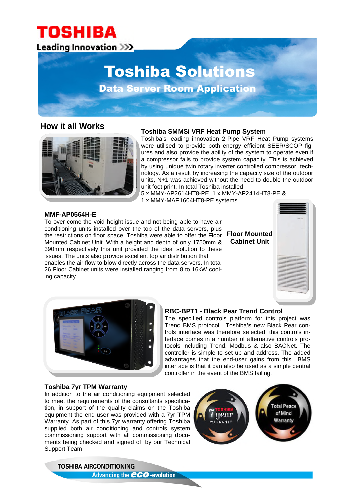### **TOSHIBA** Leading Innovation >>>.

## Toshiba Solutions

Data Server Room Application

### **How it all Works**



#### **Toshiba SMMSi VRF Heat Pump System**

Toshiba's leading innovation 2-Pipe VRF Heat Pump systems were utilised to provide both energy efficient SEER/SCOP figures and also provide the ability of the system to operate even if a compressor fails to provide system capacity. This is achieved by using unique twin rotary inverter controlled compressor technology. As a result by increasing the capacity size of the outdoor units, N+1 was achieved without the need to double the outdoor unit foot print. In total Toshiba installed

5 x MMY-AP2614HT8-PE, 1 x MMY-AP2414HT8-PE & 1 x MMY-MAP1604HT8-PE systems

#### **MMF-AP0564H-E**

To over-come the void height issue and not being able to have air conditioning units installed over the top of the data servers, plus the restrictions on floor space, Toshiba were able to offer the Floor Mounted Cabinet Unit. With a height and depth of only 1750mm & 390mm respectively this unit provided the ideal solution to these issues. The units also provide excellent top air distribution that enables the air flow to blow directly across the data servers. In total 26 Floor Cabinet units were installed ranging from 8 to 16kW cooling capacity.





#### **RBC-BPT1 - Black Pear Trend Control**

The specified controls platform for this project was Trend BMS protocol. Toshiba's new Black Pear controls interface was therefore selected, this controls interface comes in a number of alternative controls protocols including Trend, Modbus & also BACNet. The controller is simple to set up and address. The added advantages that the end-user gains from this BMS interface is that it can also be used as a simple central controller in the event of the BMS failing.

#### **Toshiba 7yr TPM Warranty**

In addition to the air conditioning equipment selected to meet the requirements of the consultants specification, in support of the quality claims on the Toshiba equipment the end-user was provided with a 7yr TPM Warranty. As part of this 7yr warranty offering Toshiba supplied both air conditioning and controls system commissioning support with all commissioning documents being checked and signed off by our Technical Support Team.



**TOSHIBA AIRCONDITIONING Advancing the CCO-evolution**